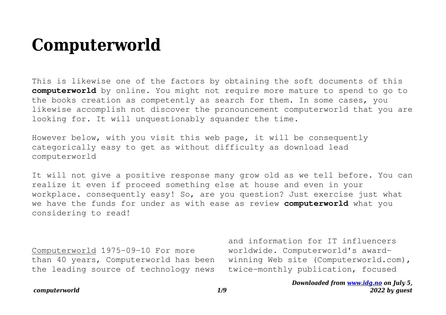# **Computerworld**

This is likewise one of the factors by obtaining the soft documents of this **computerworld** by online. You might not require more mature to spend to go to the books creation as competently as search for them. In some cases, you likewise accomplish not discover the pronouncement computerworld that you are looking for. It will unquestionably squander the time.

However below, with you visit this web page, it will be consequently categorically easy to get as without difficulty as download lead computerworld

It will not give a positive response many grow old as we tell before. You can realize it even if proceed something else at house and even in your workplace. consequently easy! So, are you question? Just exercise just what we have the funds for under as with ease as review **computerworld** what you considering to read!

Computerworld 1975-09-10 For more than 40 years, Computerworld has been the leading source of technology news

and information for IT influencers worldwide. Computerworld's awardwinning Web site (Computerworld.com), twice-monthly publication, focused

#### *computerworld 1/9*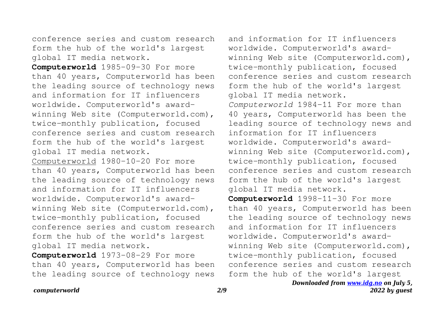conference series and custom research form the hub of the world's largest global IT media network.

**Computerworld** 1985-09-30 For more than 40 years, Computerworld has been the leading source of technology news and information for IT influencers worldwide. Computerworld's awardwinning Web site (Computerworld.com), twice-monthly publication, focused conference series and custom research form the hub of the world's largest global IT media network.

Computerworld 1980-10-20 For more than 40 years, Computerworld has been the leading source of technology news and information for IT influencers worldwide. Computerworld's awardwinning Web site (Computerworld.com), twice-monthly publication, focused conference series and custom research form the hub of the world's largest global IT media network.

**Computerworld** 1973-08-29 For more than 40 years, Computerworld has been the leading source of technology news

and information for IT influencers worldwide. Computerworld's awardwinning Web site (Computerworld.com), twice-monthly publication, focused conference series and custom research form the hub of the world's largest global IT media network. *Computerworld* 1984-11 For more than 40 years, Computerworld has been the leading source of technology news and information for IT influencers worldwide. Computerworld's awardwinning Web site (Computerworld.com), twice-monthly publication, focused conference series and custom research form the hub of the world's largest global IT media network.

**Computerworld** 1998-11-30 For more than 40 years, Computerworld has been the leading source of technology news and information for IT influencers worldwide. Computerworld's awardwinning Web site (Computerworld.com), twice-monthly publication, focused conference series and custom research form the hub of the world's largest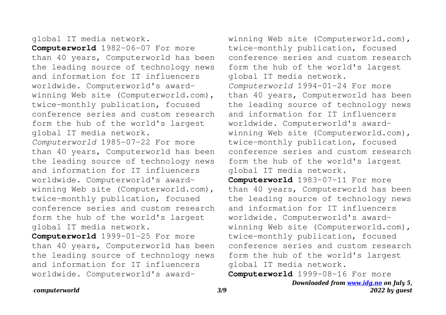## global IT media network.

**Computerworld** 1982-06-07 For more than 40 years, Computerworld has been the leading source of technology news and information for IT influencers worldwide. Computerworld's awardwinning Web site (Computerworld.com), twice-monthly publication, focused conference series and custom research form the hub of the world's largest global IT media network. *Computerworld* 1985-07-22 For more than 40 years, Computerworld has been the leading source of technology news and information for IT influencers worldwide. Computerworld's awardwinning Web site (Computerworld.com), twice-monthly publication, focused conference series and custom research form the hub of the world's largest global IT media network.

**Computerworld** 1999-01-25 For more than 40 years, Computerworld has been the leading source of technology news and information for IT influencers worldwide. Computerworld's awardwinning Web site (Computerworld.com), twice-monthly publication, focused conference series and custom research form the hub of the world's largest global IT media network. *Computerworld* 1994-01-24 For more than 40 years, Computerworld has been the leading source of technology news and information for IT influencers worldwide. Computerworld's awardwinning Web site (Computerworld.com), twice-monthly publication, focused conference series and custom research form the hub of the world's largest global IT media network.

**Computerworld** 1983-07-11 For more than 40 years, Computerworld has been the leading source of technology news and information for IT influencers worldwide. Computerworld's awardwinning Web site (Computerworld.com), twice-monthly publication, focused conference series and custom research form the hub of the world's largest global IT media network.

**Computerworld** 1999-08-16 For more

*Downloaded from [www.idg.no](http://www.idg.no) on July 5, 2022 by guest*

### *computerworld 3/9*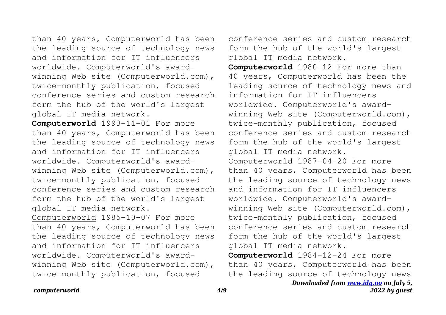than 40 years, Computerworld has been the leading source of technology news and information for IT influencers worldwide. Computerworld's awardwinning Web site (Computerworld.com), twice-monthly publication, focused conference series and custom research form the hub of the world's largest global IT media network.

**Computerworld** 1993-11-01 For more than 40 years, Computerworld has been the leading source of technology news and information for IT influencers worldwide. Computerworld's awardwinning Web site (Computerworld.com), twice-monthly publication, focused conference series and custom research form the hub of the world's largest global IT media network. Computerworld 1985-10-07 For more than 40 years, Computerworld has been the leading source of technology news and information for IT influencers worldwide. Computerworld's awardwinning Web site (Computerworld.com), twice-monthly publication, focused

conference series and custom research form the hub of the world's largest global IT media network.

**Computerworld** 1980-12 For more than 40 years, Computerworld has been the leading source of technology news and information for IT influencers worldwide. Computerworld's awardwinning Web site (Computerworld.com), twice-monthly publication, focused conference series and custom research form the hub of the world's largest global IT media network. Computerworld 1987-04-20 For more than 40 years, Computerworld has been the leading source of technology news and information for IT influencers worldwide. Computerworld's awardwinning Web site (Computerworld.com), twice-monthly publication, focused conference series and custom research form the hub of the world's largest global IT media network.

**Computerworld** 1984-12-24 For more than 40 years, Computerworld has been the leading source of technology news

#### *computerworld 4/9*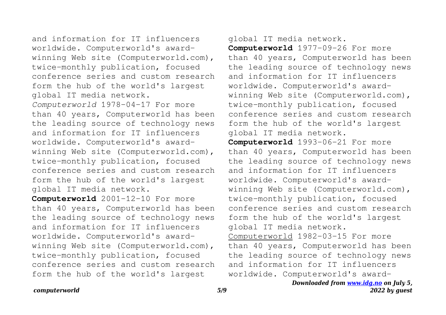and information for IT influencers worldwide. Computerworld's awardwinning Web site (Computerworld.com), twice-monthly publication, focused conference series and custom research form the hub of the world's largest global IT media network. *Computerworld* 1978-04-17 For more than 40 years, Computerworld has been the leading source of technology news and information for IT influencers worldwide. Computerworld's awardwinning Web site (Computerworld.com), twice-monthly publication, focused conference series and custom research form the hub of the world's largest global IT media network.

**Computerworld** 2001-12-10 For more than 40 years, Computerworld has been the leading source of technology news and information for IT influencers worldwide. Computerworld's awardwinning Web site (Computerworld.com), twice-monthly publication, focused conference series and custom research form the hub of the world's largest

# global IT media network.

**Computerworld** 1977-09-26 For more than 40 years, Computerworld has been the leading source of technology news and information for IT influencers worldwide. Computerworld's awardwinning Web site (Computerworld.com), twice-monthly publication, focused conference series and custom research form the hub of the world's largest global IT media network.

**Computerworld** 1993-06-21 For more than 40 years, Computerworld has been the leading source of technology news and information for IT influencers worldwide. Computerworld's awardwinning Web site (Computerworld.com), twice-monthly publication, focused conference series and custom research form the hub of the world's largest global IT media network. Computerworld 1982-03-15 For more than 40 years, Computerworld has been

the leading source of technology news and information for IT influencers worldwide. Computerworld's award-

## *Downloaded from [www.idg.no](http://www.idg.no) on July 5, 2022 by guest*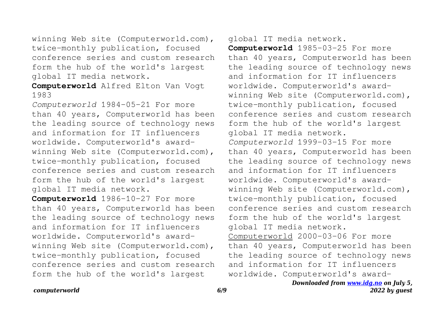winning Web site (Computerworld.com), twice-monthly publication, focused conference series and custom research form the hub of the world's largest global IT media network.

# **Computerworld** Alfred Elton Van Vogt 1983

*Computerworld* 1984-05-21 For more than 40 years, Computerworld has been the leading source of technology news and information for IT influencers worldwide. Computerworld's awardwinning Web site (Computerworld.com), twice-monthly publication, focused conference series and custom research form the hub of the world's largest global IT media network.

**Computerworld** 1986-10-27 For more than 40 years, Computerworld has been the leading source of technology news and information for IT influencers worldwide. Computerworld's awardwinning Web site (Computerworld.com), twice-monthly publication, focused conference series and custom research form the hub of the world's largest

# global IT media network.

**Computerworld** 1985-03-25 For more than 40 years, Computerworld has been the leading source of technology news and information for IT influencers worldwide. Computerworld's awardwinning Web site (Computerworld.com), twice-monthly publication, focused conference series and custom research form the hub of the world's largest global IT media network. *Computerworld* 1999-03-15 For more than 40 years, Computerworld has been the leading source of technology news and information for IT influencers worldwide. Computerworld's awardwinning Web site (Computerworld.com), twice-monthly publication, focused conference series and custom research form the hub of the world's largest global IT media network. Computerworld 2000-03-06 For more than 40 years, Computerworld has been the leading source of technology news and information for IT influencers worldwide. Computerworld's award-

## *Downloaded from [www.idg.no](http://www.idg.no) on July 5, 2022 by guest*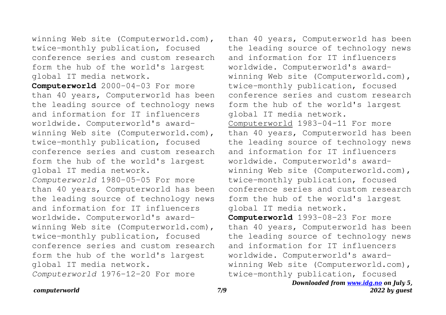winning Web site (Computerworld.com), twice-monthly publication, focused conference series and custom research form the hub of the world's largest global IT media network.

**Computerworld** 2000-04-03 For more than 40 years, Computerworld has been the leading source of technology news and information for IT influencers worldwide. Computerworld's awardwinning Web site (Computerworld.com), twice-monthly publication, focused conference series and custom research form the hub of the world's largest global IT media network. *Computerworld* 1980-05-05 For more than 40 years, Computerworld has been the leading source of technology news and information for IT influencers worldwide. Computerworld's awardwinning Web site (Computerworld.com), twice-monthly publication, focused conference series and custom research form the hub of the world's largest global IT media network.

*Computerworld* 1976-12-20 For more

than 40 years, Computerworld has been the leading source of technology news and information for IT influencers worldwide. Computerworld's awardwinning Web site (Computerworld.com), twice-monthly publication, focused conference series and custom research form the hub of the world's largest global IT media network. Computerworld 1983-04-11 For more than 40 years, Computerworld has been the leading source of technology news and information for IT influencers worldwide. Computerworld's awardwinning Web site (Computerworld.com), twice-monthly publication, focused conference series and custom research form the hub of the world's largest global IT media network. **Computerworld** 1993-08-23 For more than 40 years, Computerworld has been the leading source of technology news and information for IT influencers worldwide. Computerworld's award-

winning Web site (Computerworld.com), twice-monthly publication, focused

> *Downloaded from [www.idg.no](http://www.idg.no) on July 5, 2022 by guest*

#### *computerworld 7/9*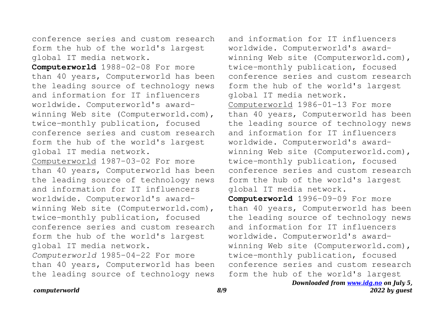conference series and custom research form the hub of the world's largest global IT media network.

**Computerworld** 1988-02-08 For more than 40 years, Computerworld has been the leading source of technology news and information for IT influencers worldwide. Computerworld's awardwinning Web site (Computerworld.com), twice-monthly publication, focused conference series and custom research form the hub of the world's largest global IT media network.

Computerworld 1987-03-02 For more than 40 years, Computerworld has been the leading source of technology news and information for IT influencers worldwide. Computerworld's awardwinning Web site (Computerworld.com), twice-monthly publication, focused conference series and custom research form the hub of the world's largest global IT media network. *Computerworld* 1985-04-22 For more than 40 years, Computerworld has been the leading source of technology news

and information for IT influencers worldwide. Computerworld's awardwinning Web site (Computerworld.com), twice-monthly publication, focused conference series and custom research form the hub of the world's largest global IT media network. Computerworld 1986-01-13 For more than 40 years, Computerworld has been the leading source of technology news and information for IT influencers worldwide. Computerworld's awardwinning Web site (Computerworld.com), twice-monthly publication, focused conference series and custom research form the hub of the world's largest global IT media network.

**Computerworld** 1996-09-09 For more than 40 years, Computerworld has been the leading source of technology news and information for IT influencers worldwide. Computerworld's awardwinning Web site (Computerworld.com), twice-monthly publication, focused conference series and custom research form the hub of the world's largest